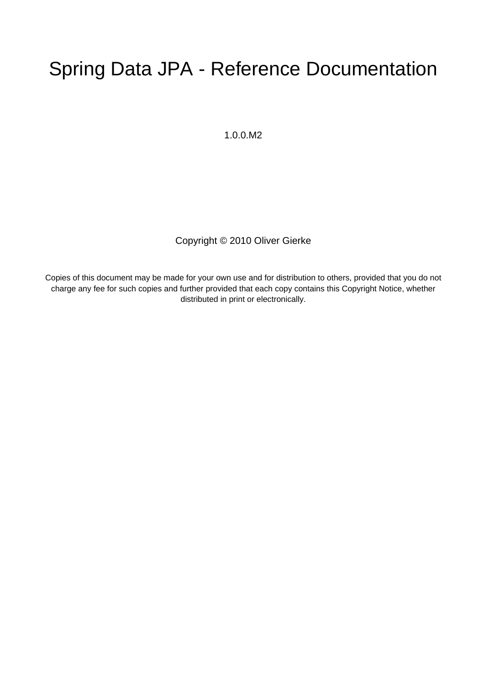# Spring Data JPA - Reference Documentation

1.0.0.M2

Copyright © 2010 Oliver Gierke

Copies of this document may be made for your own use and for distribution to others, provided that you do not charge any fee for such copies and further provided that each copy contains this Copyright Notice, whether distributed in print or electronically.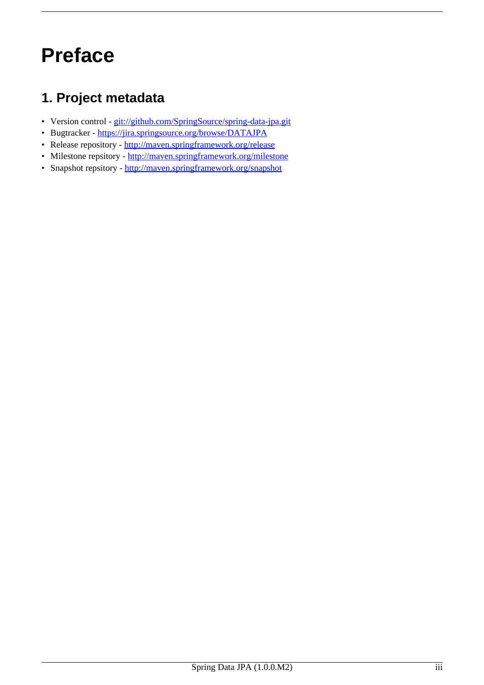# <span id="page-2-0"></span>**Preface**

# <span id="page-2-1"></span>**1. Project metadata**

- Version control [git://github.com/SpringSource/spring-data-jpa.git](http://git.synyx.org/hades.git)
- Bugtracker [https://jira.springsource.org/browse/DATAJPA](http://hades.synyx.org)
- Release repository <http://maven.springframework.org/release>
- Milestone repsitory <http://maven.springframework.org/milestone>
- Snapshot repsitory <http://maven.springframework.org/snapshot>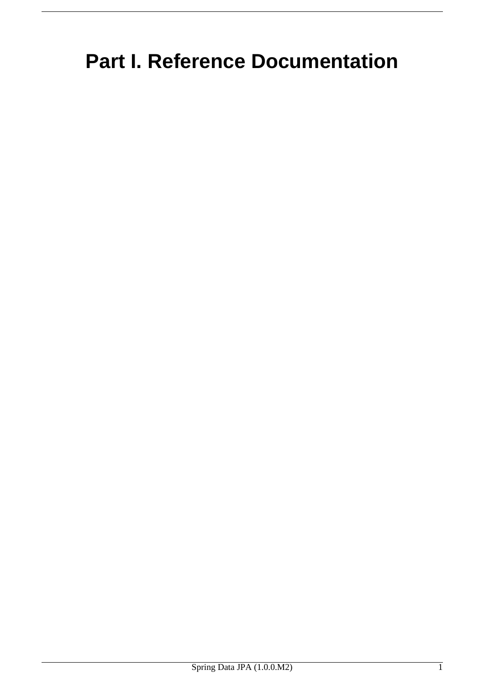# <span id="page-3-0"></span>**Part I. Reference Documentation**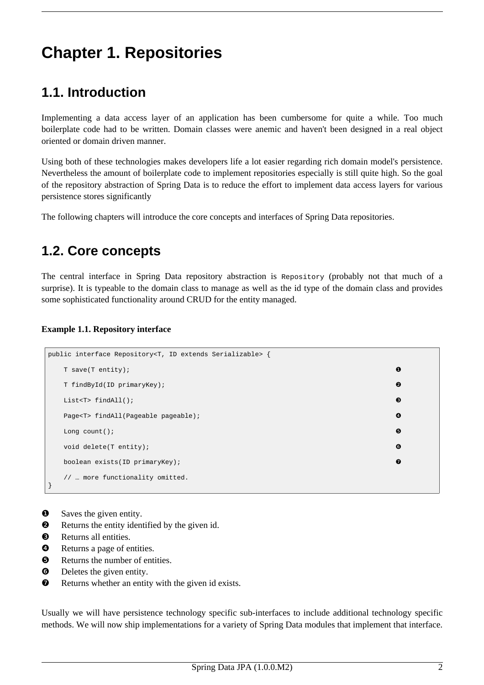# <span id="page-4-1"></span><span id="page-4-0"></span>**Chapter 1. Repositories**

# **1.1. Introduction**

Implementing a data access layer of an application has been cumbersome for quite a while. Too much boilerplate code had to be written. Domain classes were anemic and haven't been designed in a real object oriented or domain driven manner.

Using both of these technologies makes developers life a lot easier regarding rich domain model's persistence. Nevertheless the amount of boilerplate code to implement repositories especially is still quite high. So the goal of the repository abstraction of Spring Data is to reduce the effort to implement data access layers for various persistence stores significantly

<span id="page-4-2"></span>The following chapters will introduce the core concepts and interfaces of Spring Data repositories.

# **1.2. Core concepts**

The central interface in Spring Data repository abstraction is Repository (probably not that much of a surprise). It is typeable to the domain class to manage as well as the id type of the domain class and provides some sophisticated functionality around CRUD for the entity managed.

#### **Example 1.1. Repository interface**

```
public interface Repository<T, ID extends Serializable> {
 T save(T entity); \qquad \qquad \bulletT findById(ID primaryKey); ❷
 List<T> findAll(); \qquad \qquad \bulletPage<T> findAll(Pageable pageable); ❹
 Long count (); \qquad \qquad \bulletvoid delete(T entity); \qquad \qquad \bulletboolean exists(ID primaryKey); \bullet// … more functionality omitted.
}
```
- **O** Saves the given entity.
- ❷ Returns the entity identified by the given id.
- ❸ Returns all entities.
- ❹ Returns a page of entities.
- ❺ Returns the number of entities.
- $\bullet$  Deletes the given entity.
- ❼ Returns whether an entity with the given id exists.

Usually we will have persistence technology specific sub-interfaces to include additional technology specific methods. We will now ship implementations for a variety of Spring Data modules that implement that interface.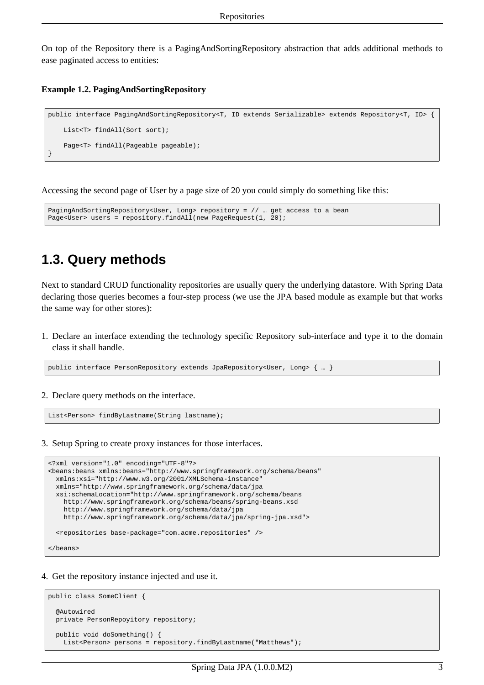On top of the Repository there is a PagingAndSortingRepository abstraction that adds additional methods to ease paginated access to entities:

#### **Example 1.2. PagingAndSortingRepository**

```
public interface PagingAndSortingRepository<T, ID extends Serializable> extends Repository<T, ID> {
   List<T> findAll(Sort sort);
   Page<T> findAll(Pageable pageable);
}
```
Accessing the second page of User by a page size of 20 you could simply do something like this:

```
PagingAndSortingRepository<User, Long> repository = // ... get access to a bean
Page<User> users = repository.findAll(new PageRequest(1, 20);
```
## **1.3. Query methods**

Next to standard CRUD functionality repositories are usually query the underlying datastore. With Spring Data declaring those queries becomes a four-step process (we use the JPA based module as example but that works the same way for other stores):

1. Declare an interface extending the technology specific Repository sub-interface and type it to the domain class it shall handle.

public interface PersonRepository extends JpaRepository<User, Long> { … }

2. Declare query methods on the interface.

List<Person> findByLastname(String lastname);

3. Setup Spring to create proxy instances for those interfaces.

```
<?xml version="1.0" encoding="UTF-8"?>
<beans:beans xmlns:beans="http://www.springframework.org/schema/beans"
 xmlns:xsi="http://www.w3.org/2001/XMLSchema-instance"
 xmlns="http://www.springframework.org/schema/data/jpa
 xsi:schemaLocation="http://www.springframework.org/schema/beans
   http://www.springframework.org/schema/beans/spring-beans.xsd
   http://www.springframework.org/schema/data/jpa
   http://www.springframework.org/schema/data/jpa/spring-jpa.xsd">
 <repositories base-package="com.acme.repositories" />
</beans>
```
4. Get the repository instance injected and use it.

```
public class SomeClient {
  @Autowired
  private PersonRepoyitory repository;
  public void doSomething() {
   List<Person> persons = repository.findByLastname("Matthews");
```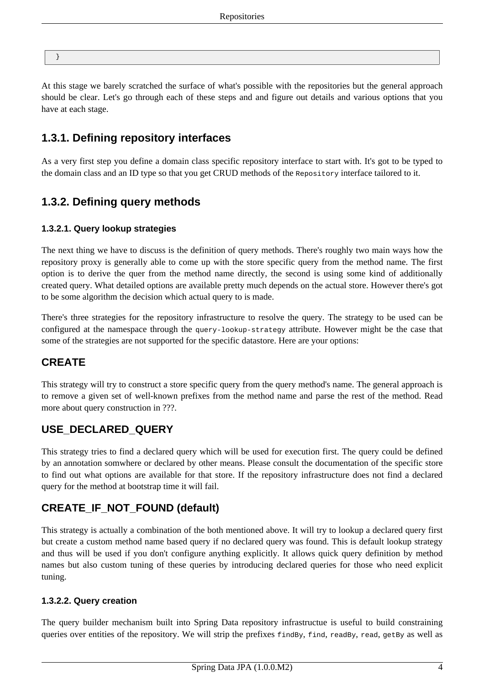}

At this stage we barely scratched the surface of what's possible with the repositories but the general approach should be clear. Let's go through each of these steps and and figure out details and various options that you have at each stage.

## <span id="page-6-0"></span>**1.3.1. Defining repository interfaces**

<span id="page-6-1"></span>As a very first step you define a domain class specific repository interface to start with. It's got to be typed to the domain class and an ID type so that you get CRUD methods of the Repository interface tailored to it.

## **1.3.2. Defining query methods**

### **1.3.2.1. Query lookup strategies**

The next thing we have to discuss is the definition of query methods. There's roughly two main ways how the repository proxy is generally able to come up with the store specific query from the method name. The first option is to derive the quer from the method name directly, the second is using some kind of additionally created query. What detailed options are available pretty much depends on the actual store. However there's got to be some algorithm the decision which actual query to is made.

There's three strategies for the repository infrastructure to resolve the query. The strategy to be used can be configured at the namespace through the query-lookup-strategy attribute. However might be the case that some of the strategies are not supported for the specific datastore. Here are your options:

## **CREATE**

This strategy will try to construct a store specific query from the query method's name. The general approach is to remove a given set of well-known prefixes from the method name and parse the rest of the method. Read more about query construction in ???.

## **USE\_DECLARED\_QUERY**

This strategy tries to find a declared query which will be used for execution first. The query could be defined by an annotation somwhere or declared by other means. Please consult the documentation of the specific store to find out what options are available for that store. If the repository infrastructure does not find a declared query for the method at bootstrap time it will fail.

## **CREATE\_IF\_NOT\_FOUND (default)**

This strategy is actually a combination of the both mentioned above. It will try to lookup a declared query first but create a custom method name based query if no declared query was found. This is default lookup strategy and thus will be used if you don't configure anything explicitly. It allows quick query definition by method names but also custom tuning of these queries by introducing declared queries for those who need explicit tuning.

#### **1.3.2.2. Query creation**

The query builder mechanism built into Spring Data repository infrastructue is useful to build constraining queries over entities of the repository. We will strip the prefixes findBy, find, readBy, read, getBy as well as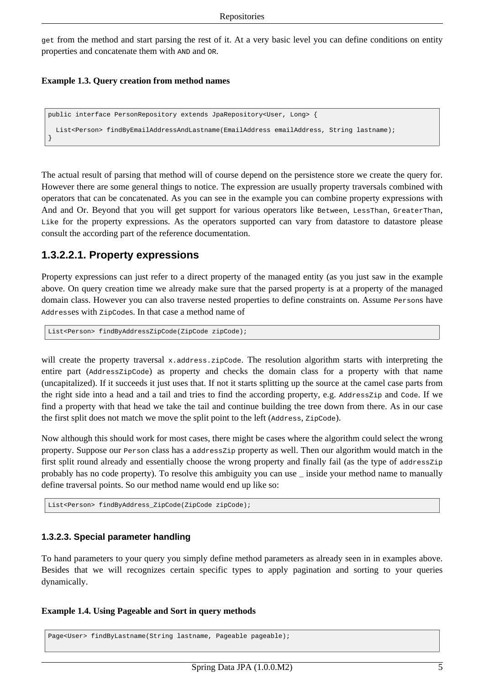get from the method and start parsing the rest of it. At a very basic level you can define conditions on entity properties and concatenate them with AND and OR.

#### **Example 1.3. Query creation from method names**

```
public interface PersonRepository extends JpaRepository<User, Long> {
 List<Person> findByEmailAddressAndLastname(EmailAddress emailAddress, String lastname);
}
```
The actual result of parsing that method will of course depend on the persistence store we create the query for. However there are some general things to notice. The expression are usually property traversals combined with operators that can be concatenated. As you can see in the example you can combine property expressions with And and Or. Beyond that you will get support for various operators like Between, LessThan, GreaterThan, Like for the property expressions. As the operators supported can vary from datastore to datastore please consult the according part of the reference documentation.

### <span id="page-7-0"></span>**1.3.2.2.1. Property expressions**

Property expressions can just refer to a direct property of the managed entity (as you just saw in the example above. On query creation time we already make sure that the parsed property is at a property of the managed domain class. However you can also traverse nested properties to define constraints on. Assume Persons have Addresses with ZipCodes. In that case a method name of

List<Person> findByAddressZipCode(ZipCode zipCode);

will create the property traversal x.address.zipCode. The resolution algorithm starts with interpreting the entire part (AddressZipCode) as property and checks the domain class for a property with that name (uncapitalized). If it succeeds it just uses that. If not it starts splitting up the source at the camel case parts from the right side into a head and a tail and tries to find the according property, e.g. AddressZip and Code. If we find a property with that head we take the tail and continue building the tree down from there. As in our case the first split does not match we move the split point to the left (Address, ZipCode).

Now although this should work for most cases, there might be cases where the algorithm could select the wrong property. Suppose our Person class has a addressZip property as well. Then our algorithm would match in the first split round already and essentially choose the wrong property and finally fail (as the type of addressZip probably has no code property). To resolve this ambiguity you can use \_ inside your method name to manually define traversal points. So our method name would end up like so:

List<Person> findByAddress ZipCode(ZipCode zipCode);

#### **1.3.2.3. Special parameter handling**

To hand parameters to your query you simply define method parameters as already seen in in examples above. Besides that we will recognizes certain specific types to apply pagination and sorting to your queries dynamically.

#### **Example 1.4. Using Pageable and Sort in query methods**

Page<User> findByLastname(String lastname, Pageable pageable);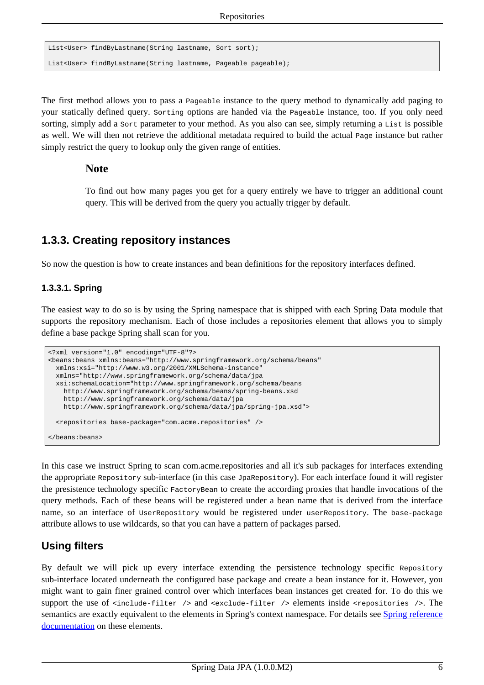```
List<User> findByLastname(String lastname, Sort sort);
List<User> findByLastname(String lastname, Pageable pageable);
```
The first method allows you to pass a Pageable instance to the query method to dynamically add paging to your statically defined query. Sorting options are handed via the Pageable instance, too. If you only need sorting, simply add a sort parameter to your method. As you also can see, simply returning a List is possible as well. We will then not retrieve the additional metadata required to build the actual Page instance but rather simply restrict the query to lookup only the given range of entities.

#### **Note**

To find out how many pages you get for a query entirely we have to trigger an additional count query. This will be derived from the query you actually trigger by default.

### <span id="page-8-0"></span>**1.3.3. Creating repository instances**

So now the question is how to create instances and bean definitions for the repository interfaces defined.

#### **1.3.3.1. Spring**

The easiest way to do so is by using the Spring namespace that is shipped with each Spring Data module that supports the repository mechanism. Each of those includes a repositories element that allows you to simply define a base packge Spring shall scan for you.

```
<?xml version="1.0" encoding="UTF-8"?>
<beans:beans xmlns:beans="http://www.springframework.org/schema/beans"
 xmlns:xsi="http://www.w3.org/2001/XMLSchema-instance"
 xmlns="http://www.springframework.org/schema/data/jpa
 xsi:schemaLocation="http://www.springframework.org/schema/beans
   http://www.springframework.org/schema/beans/spring-beans.xsd
   http://www.springframework.org/schema/data/jpa
   http://www.springframework.org/schema/data/jpa/spring-jpa.xsd">
 <repositories base-package="com.acme.repositories" />
</beans:beans>
```
In this case we instruct Spring to scan com.acme.repositories and all it's sub packages for interfaces extending the appropriate Repository sub-interface (in this case JpaRepository). For each interface found it will register the presistence technology specific FactoryBean to create the according proxies that handle invocations of the query methods. Each of these beans will be registered under a bean name that is derived from the interface name, so an interface of UserRepository would be registered under userRepository. The base-package attribute allows to use wildcards, so that you can have a pattern of packages parsed.

### **Using filters**

By default we will pick up every interface extending the persistence technology specific Repository sub-interface located underneath the configured base package and create a bean instance for it. However, you might want to gain finer grained control over which interfaces bean instances get created for. To do this we support the use of  $\le$ include-filter /> and  $\le$ exclude-filter /> elements inside  $\le$ repositories />. The semantics are exactly equivalent to the elements in Spring's context namespace. For details see Spring [reference](http://static.springsource.org/spring/docs/2.5.x/reference/beans.html#beans-scanning-filters) [documentation](http://static.springsource.org/spring/docs/2.5.x/reference/beans.html#beans-scanning-filters) on these elements.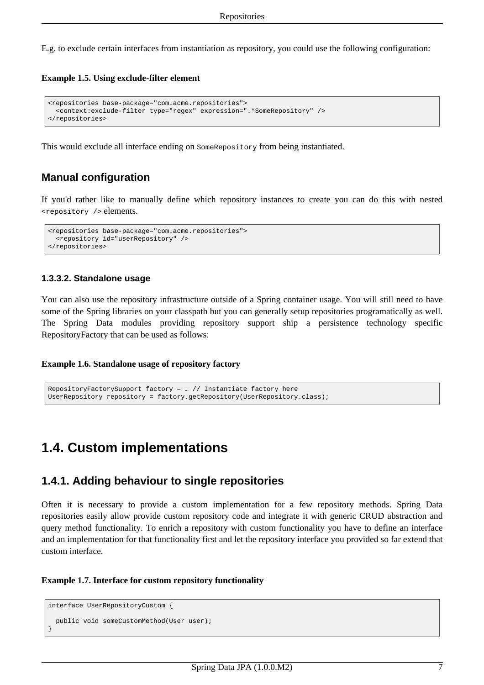E.g. to exclude certain interfaces from instantiation as repository, you could use the following configuration:

#### **Example 1.5. Using exclude-filter element**

```
<repositories base-package="com.acme.repositories">
  <context:exclude-filter type="regex" expression=".*SomeRepository" />
</repositories>
```
This would exclude all interface ending on SomeRepository from being instantiated.

### **Manual configuration**

If you'd rather like to manually define which repository instances to create you can do this with nested <repository /> elements.

```
<repositories base-package="com.acme.repositories">
 <repository id="userRepository" />
</repositories>
```
#### **1.3.3.2. Standalone usage**

You can also use the repository infrastructure outside of a Spring container usage. You will still need to have some of the Spring libraries on your classpath but you can generally setup repositories programatically as well. The Spring Data modules providing repository support ship a persistence technology specific RepositoryFactory that can be used as follows:

#### **Example 1.6. Standalone usage of repository factory**

```
RepositoryFactorySupport factory = … // Instantiate factory here
UserRepository repository = factory.getRepository(UserRepository.class);
```
## <span id="page-9-1"></span><span id="page-9-0"></span>**1.4. Custom implementations**

### **1.4.1. Adding behaviour to single repositories**

Often it is necessary to provide a custom implementation for a few repository methods. Spring Data repositories easily allow provide custom repository code and integrate it with generic CRUD abstraction and query method functionality. To enrich a repository with custom functionality you have to define an interface and an implementation for that functionality first and let the repository interface you provided so far extend that custom interface.

#### **Example 1.7. Interface for custom repository functionality**

```
interface UserRepositoryCustom {
 public void someCustomMethod(User user);
}
```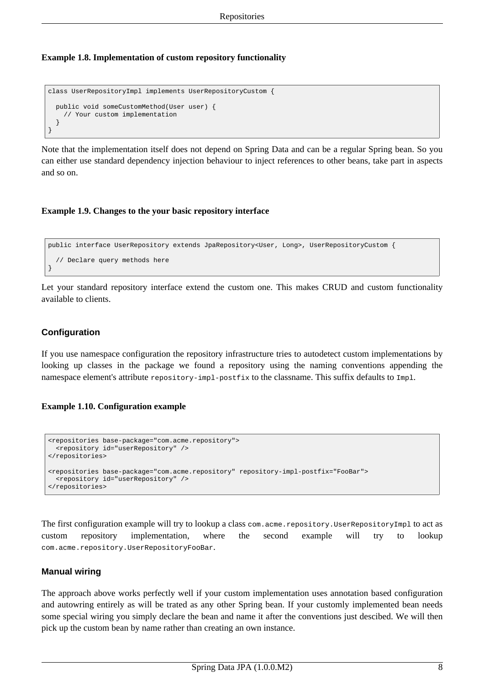#### **Example 1.8. Implementation of custom repository functionality**

```
class UserRepositoryImpl implements UserRepositoryCustom {
 public void someCustomMethod(User user) {
    // Your custom implementation
  }
}
```
Note that the implementation itself does not depend on Spring Data and can be a regular Spring bean. So you can either use standard dependency injection behaviour to inject references to other beans, take part in aspects and so on.

#### **Example 1.9. Changes to the your basic repository interface**

```
public interface UserRepository extends JpaRepository<User, Long>, UserRepositoryCustom {
  // Declare query methods here
}
```
Let your standard repository interface extend the custom one. This makes CRUD and custom functionality available to clients.

#### **Configuration**

If you use namespace configuration the repository infrastructure tries to autodetect custom implementations by looking up classes in the package we found a repository using the naming conventions appending the namespace element's attribute repository-impl-postfix to the classname. This suffix defaults to Impl.

#### **Example 1.10. Configuration example**

```
<repositories base-package="com.acme.repository">
 <repository id="userRepository" />
</repositories>
<repositories base-package="com.acme.repository" repository-impl-postfix="FooBar">
  <repository id="userRepository" />
</repositories>
```
The first configuration example will try to lookup a class com.acme.repository.UserRepositoryImpl to act as custom repository implementation, where the second example will try to lookup com.acme.repository.UserRepositoryFooBar.

#### **Manual wiring**

The approach above works perfectly well if your custom implementation uses annotation based configuration and autowring entirely as will be trated as any other Spring bean. If your customly implemented bean needs some special wiring you simply declare the bean and name it after the conventions just descibed. We will then pick up the custom bean by name rather than creating an own instance.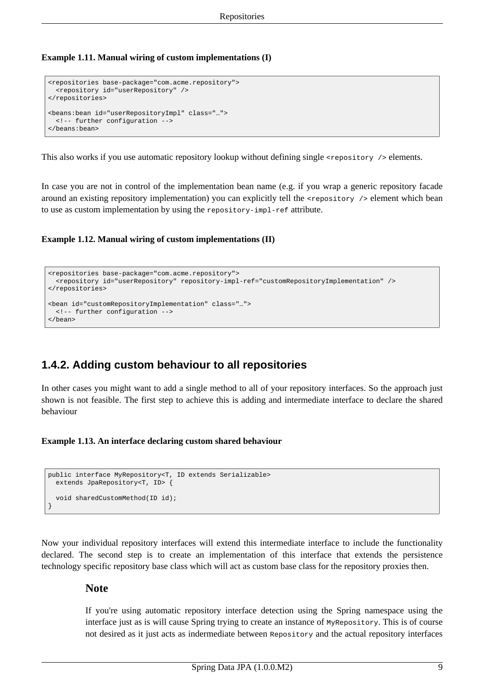**Example 1.11. Manual wiring of custom implementations (I)**

```
<repositories base-package="com.acme.repository">
  <repository id="userRepository" />
</repositories>
<beans:bean id="userRepositoryImpl" class="…">
 <!-- further configuration -->
</beans:bean>
```
This also works if you use automatic repository lookup without defining single <repository /> elements.

In case you are not in control of the implementation bean name (e.g. if you wrap a generic repository facade around an existing repository implementation) you can explicitly tell the <repository /> element which bean to use as custom implementation by using the repository-impl-ref attribute.

**Example 1.12. Manual wiring of custom implementations (II)**

```
<repositories base-package="com.acme.repository">
 <repository id="userRepository" repository-impl-ref="customRepositoryImplementation" />
</repositories>
<bean id="customRepositoryImplementation" class="…">
 <!-- further configuration -->
</bean>
```
## <span id="page-11-0"></span>**1.4.2. Adding custom behaviour to all repositories**

In other cases you might want to add a single method to all of your repository interfaces. So the approach just shown is not feasible. The first step to achieve this is adding and intermediate interface to declare the shared behaviour

**Example 1.13. An interface declaring custom shared behaviour**

```
public interface MyRepository<T, ID extends Serializable>
 extends JpaRepository<T, ID> {
  void sharedCustomMethod(ID id);
}
```
Now your individual repository interfaces will extend this intermediate interface to include the functionality declared. The second step is to create an implementation of this interface that extends the persistence technology specific repository base class which will act as custom base class for the repository proxies then.

#### **Note**

If you're using automatic repository interface detection using the Spring namespace using the interface just as is will cause Spring trying to create an instance of MyRepository. This is of course not desired as it just acts as indermediate between Repository and the actual repository interfaces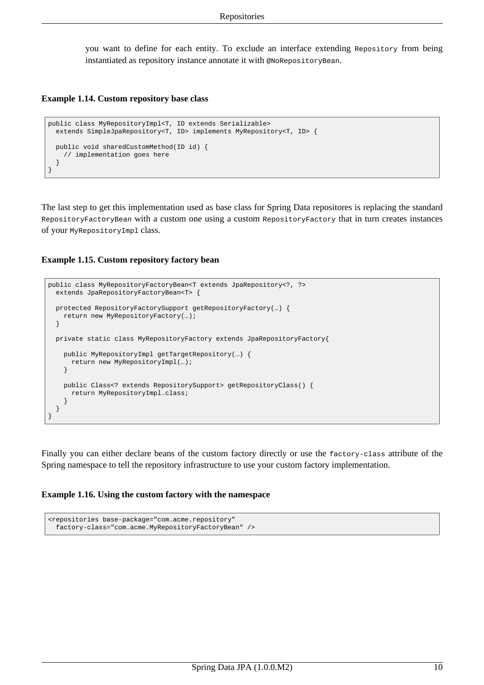you want to define for each entity. To exclude an interface extending Repository from being instantiated as repository instance annotate it with @NoRepositoryBean.

#### **Example 1.14. Custom repository base class**

```
public class MyRepositoryImpl<T, ID extends Serializable>
 extends SimpleJpaRepository<T, ID> implements MyRepository<T, ID> {
 public void sharedCustomMethod(ID id) {
   // implementation goes here
  }
}
```
The last step to get this implementation used as base class for Spring Data repositores is replacing the standard RepositoryFactoryBean with a custom one using a custom RepositoryFactory that in turn creates instances of your MyRepositoryImpl class.

#### **Example 1.15. Custom repository factory bean**

```
public class MyRepositoryFactoryBean<T extends JpaRepository<?, ?>
  extends JpaRepositoryFactoryBean<T> {
  protected RepositoryFactorySupport getRepositoryFactory(…) {
   return new MyRepositoryFactory(…);
  }
  private static class MyRepositoryFactory extends JpaRepositoryFactory{
   public MyRepositoryImpl getTargetRepository(…) {
      return new MyRepositoryImpl(…);
    }
   public Class<? extends RepositorySupport> getRepositoryClass() {
     return MyRepositoryImpl.class;
    }
  }
}
```
Finally you can either declare beans of the custom factory directly or use the factory-class attribute of the Spring namespace to tell the repository infrastructure to use your custom factory implementation.

#### **Example 1.16. Using the custom factory with the namespace**

```
<repositories base-package="com.acme.repository"
 factory-class="com.acme.MyRepositoryFactoryBean" />
```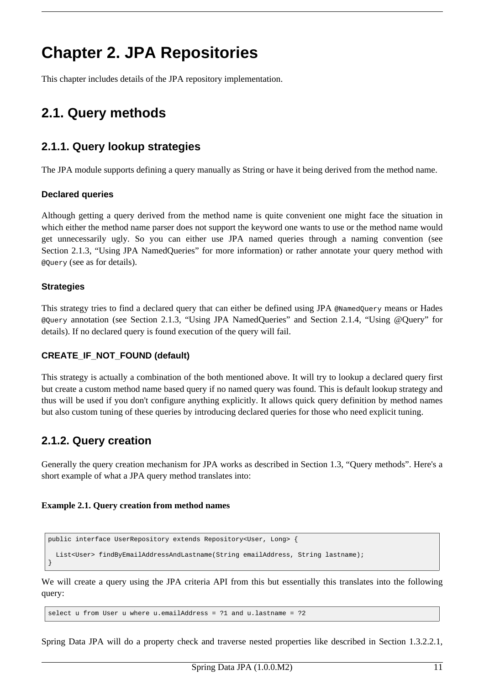# <span id="page-13-0"></span>**Chapter 2. JPA Repositories**

<span id="page-13-1"></span>This chapter includes details of the JPA repository implementation.

# <span id="page-13-2"></span>**2.1. Query methods**

## **2.1.1. Query lookup strategies**

The JPA module supports defining a query manually as String or have it being derived from the method name.

#### **Declared queries**

Although getting a query derived from the method name is quite convenient one might face the situation in which either the method name parser does not support the keyword one wants to use or the method name would get unnecessarily ugly. So you can either use JPA named queries through a naming convention (see [Section 2.1.3, "Using JPA NamedQueries"](#page-14-0) for more information) or rather annotate your query method with @Query (see as for details).

#### **Strategies**

This strategy tries to find a declared query that can either be defined using JPA @NamedQuery means or Hades @Query annotation (see [Section 2.1.3, "Using JPA NamedQueries"](#page-14-0) and Sec[tion 2.1.4, "Using @Query" fo](#page-15-0)r details). If no declared query is found execution of the query will fail.

#### **CREATE\_IF\_NOT\_FOUND (default)**

This strategy is actually a combination of the both mentioned above. It will try to lookup a declared query first but create a custom method name based query if no named query was found. This is default lookup strategy and thus will be used if you don't configure anything explicitly. It allows quick query definition by method names but also custom tuning of these queries by introducing declared queries for those who need explicit tuning.

## <span id="page-13-3"></span>**2.1.2. Query creation**

Generally the query creation mechanism for JPA works as described in [Section 1.3, "Query methods".](#page-5-0) Here's a short example of what a JPA query method translates into:

#### **Example 2.1. Query creation from method names**

```
public interface UserRepository extends Repository<User, Long> {
  List<User> findByEmailAddressAndLastname(String emailAddress, String lastname);
}
```
We will create a query using the JPA criteria API from this but essentially this translates into the following query:

select u from User u where u.emailAddress = ?1 and u.lastname = ?2

Spring Data JPA will do a property check and traverse nested properties like described in Section 1.3.2.2.1,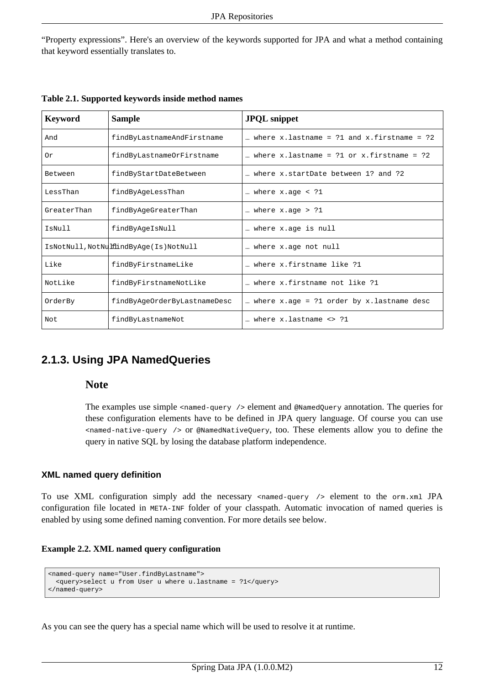["Property expressions"](#page-7-0). Here's an overview of the keywords supported for JPA and what a method containing that keyword essentially translates to.

| <b>Keyword</b> | <b>Sample</b>                          | <b>JPQL</b> snippet                                       |
|----------------|----------------------------------------|-----------------------------------------------------------|
| And            | findByLastnameAndFirstname             | where $x$ . lastname = $?1$ and $x$ . firstname = $?2$    |
| 0r             | findByLastnameOrFirstname              | where $x$ . lastname = $?1$ or $x$ . firstname = $?2$     |
| Between        | findByStartDateBetween                 | where x.startDate between 1? and ?2                       |
| LessThan       | findByAgeLessThan                      | where $x \cdot a$ ge < ?1                                 |
| GreaterThan    | findByAgeGreaterThan                   | where $x \cdot a$ ge > ?1                                 |
| IsNull         | findByAgeIsNull                        | where x.age is null                                       |
|                | IsNotNull, NotNulflindByAge(Is)NotNull | where x.age not null                                      |
| Like           | findByFirstnameLike                    | where x.firstname like ?1                                 |
| NotLike        | findByFirstnameNotLike                 | where x.firstname not like ?1                             |
| OrderBy        | findByAqeOrderByLastnameDesc           | where $x \cdot a$ = ?1 order by $x \cdot a$ lastname desc |
| Not.           | findByLastnameNot                      | where x.lastname <> ?1                                    |

**Table 2.1. Supported keywords inside method names**

## <span id="page-14-0"></span>**2.1.3. Using JPA NamedQueries**

#### **Note**

The examples use simple <named-query /> element and @NamedQuery annotation. The queries for these configuration elements have to be defined in JPA query language. Of course you can use <named-native-query /> or @NamedNativeQuery, too. These elements allow you to define the query in native SQL by losing the database platform independence.

#### **XML named query definition**

To use XML configuration simply add the necessary <named-query /> element to the orm.xml JPA configuration file located in META-INF folder of your classpath. Automatic invocation of named queries is enabled by using some defined naming convention. For more details see below.

#### **Example 2.2. XML named query configuration**

```
<named-query name="User.findByLastname">
 <query>select u from User u where u.lastname = ?1</query>
</named-query>
```
As you can see the query has a special name which will be used to resolve it at runtime.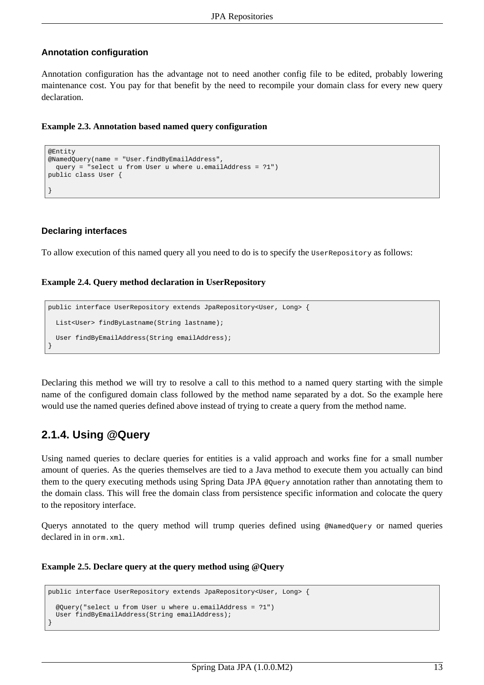#### **Annotation configuration**

Annotation configuration has the advantage not to need another config file to be edited, probably lowering maintenance cost. You pay for that benefit by the need to recompile your domain class for every new query declaration.

#### **Example 2.3. Annotation based named query configuration**

```
@Entity
@NamedQuery(name = "User.findByEmailAddress",
 query = "select u from User u where u.emailAddress = ?1")
public class User {
}
```
#### **Declaring interfaces**

To allow execution of this named query all you need to do is to specify the UserRepository as follows:

#### **Example 2.4. Query method declaration in UserRepository**

```
public interface UserRepository extends JpaRepository<User, Long> {
 List<User> findByLastname(String lastname);
 User findByEmailAddress(String emailAddress);
}
```
Declaring this method we will try to resolve a call to this method to a named query starting with the simple name of the configured domain class followed by the method name separated by a dot. So the example here would use the named queries defined above instead of trying to create a query from the method name.

## <span id="page-15-0"></span>**2.1.4. Using @Query**

Using named queries to declare queries for entities is a valid approach and works fine for a small number amount of queries. As the queries themselves are tied to a Java method to execute them you actually can bind them to the query executing methods using Spring Data JPA @Query annotation rather than annotating them to the domain class. This will free the domain class from persistence specific information and colocate the query to the repository interface.

Querys annotated to the query method will trump queries defined using @NamedQuery or named queries declared in in orm.xml.

#### **Example 2.5. Declare query at the query method using @Query**

```
public interface UserRepository extends JpaRepository<User, Long> {
  @Query("select u from User u where u.emailAddress = ?1")
 User findByEmailAddress(String emailAddress);
}
```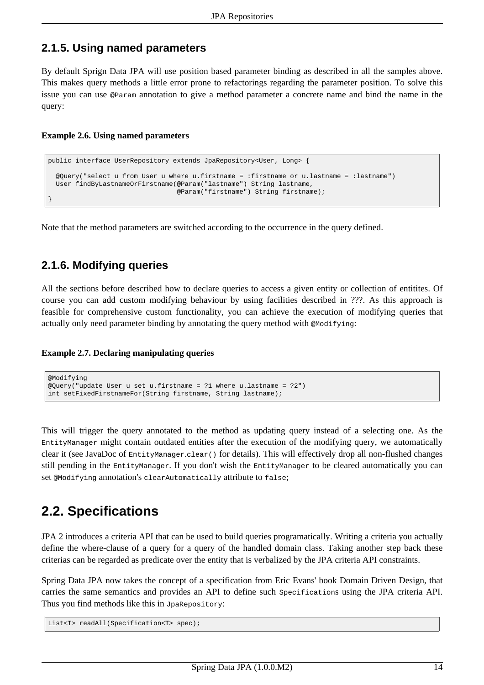## <span id="page-16-0"></span>**2.1.5. Using named parameters**

By default Sprign Data JPA will use position based parameter binding as described in all the samples above. This makes query methods a little error prone to refactorings regarding the parameter position. To solve this issue you can use @Param annotation to give a method parameter a concrete name and bind the name in the query:

#### **Example 2.6. Using named parameters**

```
public interface UserRepository extends JpaRepository<User, Long> {
 @Query("select u from User u where u.firstname = :firstname or u.lastname = :lastname")
 User findByLastnameOrFirstname(@Param("lastname") String lastname,
                                 @Param("firstname") String firstname);
}
```
<span id="page-16-1"></span>Note that the method parameters are switched according to the occurrence in the query defined.

## **2.1.6. Modifying queries**

All the sections before described how to declare queries to access a given entity or collection of entitites. Of course you can add custom modifying behaviour by using facilities described in ???. As this approach is feasible for comprehensive custom functionality, you can achieve the execution of modifying queries that actually only need parameter binding by annotating the query method with  $\omega$ Modifying:

#### **Example 2.7. Declaring manipulating queries**

```
@Modifying
@Query("update User u set u.firstname = ?1 where u.lastname = ?2")
int setFixedFirstnameFor(String firstname, String lastname);
```
This will trigger the query annotated to the method as updating query instead of a selecting one. As the EntityManager might contain outdated entities after the execution of the modifying query, we automatically clear it (see JavaDoc of EntityManager.clear() for details). This will effectively drop all non-flushed changes still pending in the EntityManager. If you don't wish the EntityManager to be cleared automatically you can set @Modifying annotation's clearAutomatically attribute to false;

# <span id="page-16-2"></span>**2.2. Specifications**

JPA 2 introduces a criteria API that can be used to build queries programatically. Writing a criteria you actually define the where-clause of a query for a query of the handled domain class. Taking another step back these criterias can be regarded as predicate over the entity that is verbalized by the JPA criteria API constraints.

Spring Data JPA now takes the concept of a specification from Eric Evans' book Domain Driven Design, that carries the same semantics and provides an API to define such Specifications using the JPA criteria API. Thus you find methods like this in JpaRepository:

List<T> readAll(Specification<T> spec);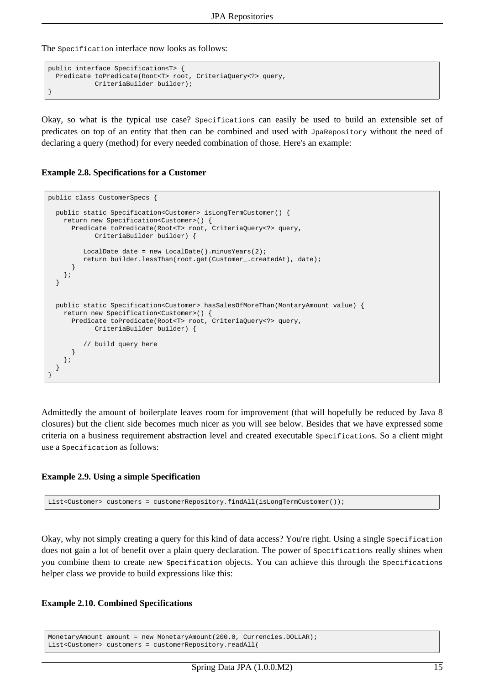The specification interface now looks as follows:

```
public interface Specification<T> {
 Predicate toPredicate(Root<T> root, CriteriaQuery<?> query,
            CriteriaBuilder builder);
}
```
Okay, so what is the typical use case? Specifications can easily be used to build an extensible set of predicates on top of an entity that then can be combined and used with JpaRepository without the need of declaring a query (method) for every needed combination of those. Here's an example:

#### **Example 2.8. Specifications for a Customer**

```
public class CustomerSpecs {
 public static Specification<Customer> isLongTermCustomer() {
   return new Specification<Customer>() {
     Predicate toPredicate(Root<T> root, CriteriaQuery<?> query,
           CriteriaBuilder builder) {
        LocalDate date = new LocalDate().minusYears(2);
        return builder.lessThan(root.get(Customer_.createdAt), date);
     }
   };
 }
 public static Specification<Customer> hasSalesOfMoreThan(MontaryAmount value) {
   return new Specification<Customer>() {
     Predicate toPredicate(Root<T> root, CriteriaQuery<?> query,
           CriteriaBuilder builder) {
         // build query here
     }
   };
 }
}
```
Admittedly the amount of boilerplate leaves room for improvement (that will hopefully be reduced by Java 8 closures) but the client side becomes much nicer as you will see below. Besides that we have expressed some criteria on a business requirement abstraction level and created executable Specifications. So a client might use a Specification as follows:

#### **Example 2.9. Using a simple Specification**

List<Customer> customers = customerRepository.findAll(isLongTermCustomer());

Okay, why not simply creating a query for this kind of data access? You're right. Using a single Specification does not gain a lot of benefit over a plain query declaration. The power of specifications really shines when you combine them to create new Specification objects. You can achieve this through the Specifications helper class we provide to build expressions like this:

#### **Example 2.10. Combined Specifications**

```
MonetaryAmount amount = new MonetaryAmount(200.0, Currencies.DOLLAR);
List<Customer> customers = customerRepository.readAll(
```
Spring Data JPA (1.0.0.M2) 15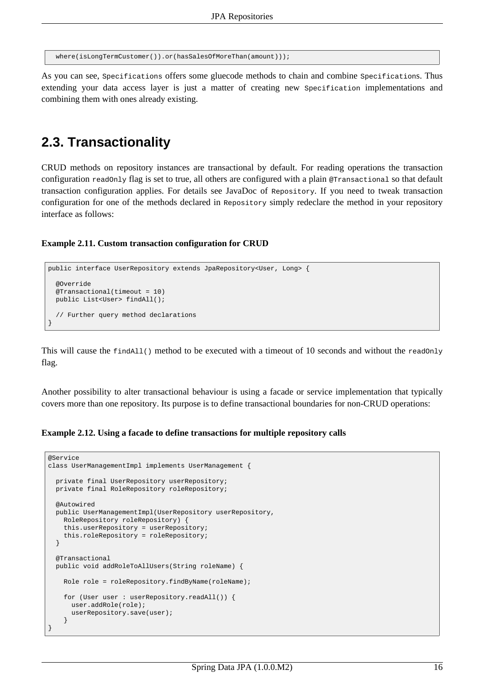```
where(isLongTermCustomer()).or(hasSalesOfMoreThan(amount)));
```
As you can see, Specifications offers some gluecode methods to chain and combine Specifications. Thus extending your data access layer is just a matter of creating new Specification implementations and combining them with ones already existing.

## <span id="page-18-0"></span>**2.3. Transactionality**

CRUD methods on repository instances are transactional by default. For reading operations the transaction configuration readonly flag is set to true, all others are configured with a plain  $\epsilon$ Transactional so that default transaction configuration applies. For details see JavaDoc of Repository. If you need to tweak transaction configuration for one of the methods declared in Repository simply redeclare the method in your repository interface as follows:

#### **Example 2.11. Custom transaction configuration for CRUD**

```
public interface UserRepository extends JpaRepository<User, Long> {
 @Override
 @Transactional(timeout = 10)
 public List<User> findAll();
  // Further query method declarations
}
```
This will cause the  $f_{\text{indAll}}(t)$  method to be executed with a timeout of 10 seconds and without the readonly flag.

Another possibility to alter transactional behaviour is using a facade or service implementation that typically covers more than one repository. Its purpose is to define transactional boundaries for non-CRUD operations:

#### **Example 2.12. Using a facade to define transactions for multiple repository calls**

```
@Service
class UserManagementImpl implements UserManagement {
 private final UserRepository userRepository;
 private final RoleRepository roleRepository;
 @Autowired
 public UserManagementImpl(UserRepository userRepository,
   RoleRepository roleRepository) {
   this.userRepository = userRepository;
   this.roleRepository = roleRepository;
  }
 @Transactional
 public void addRoleToAllUsers(String roleName) {
   Role role = roleRepository.findByName(roleName);
   for (User user : userRepository.readAll()) {
     user.addRole(role);
     userRepository.save(user);
    }
}
```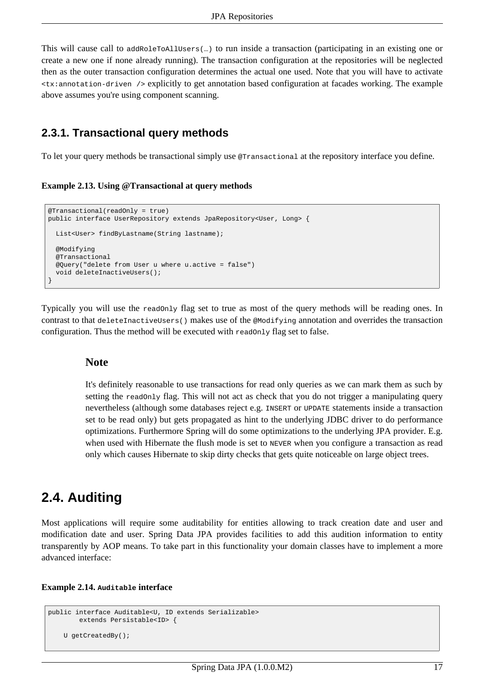This will cause call to addRoleToAllUsers(…) to run inside a transaction (participating in an existing one or create a new one if none already running). The transaction configuration at the repositories will be neglected then as the outer transaction configuration determines the actual one used. Note that you will have to activate <tx:annotation-driven /> explicitly to get annotation based configuration at facades working. The example above assumes you're using component scanning.

### <span id="page-19-0"></span>**2.3.1. Transactional query methods**

To let your query methods be transactional simply use @Transactional at the repository interface you define.

**Example 2.13. Using @Transactional at query methods**

```
@Transactional(readOnly = true)
public interface UserRepository extends JpaRepository<User, Long> {
 List<User> findByLastname(String lastname);
 @Modifying
 @Transactional
 @Query("delete from User u where u.active = false")
  void deleteInactiveUsers();
}
```
Typically you will use the readonly flag set to true as most of the query methods will be reading ones. In contrast to that deleteInactiveUsers() makes use of the @Modifying annotation and overrides the transaction configuration. Thus the method will be executed with readonly flag set to false.

#### **Note**

It's definitely reasonable to use transactions for read only queries as we can mark them as such by setting the readonly flag. This will not act as check that you do not trigger a manipulating query nevertheless (although some databases reject e.g. INSERT or UPDATE statements inside a transaction set to be read only) but gets propagated as hint to the underlying JDBC driver to do performance optimizations. Furthermore Spring will do some optimizations to the underlying JPA provider. E.g. when used with Hibernate the flush mode is set to NEVER when you configure a transaction as read only which causes Hibernate to skip dirty checks that gets quite noticeable on large object trees.

## <span id="page-19-1"></span>**2.4. Auditing**

Most applications will require some auditability for entities allowing to track creation date and user and modification date and user. Spring Data JPA provides facilities to add this audition information to entity transparently by AOP means. To take part in this functionality your domain classes have to implement a more advanced interface:

#### **Example 2.14. Auditable interface**

```
public interface Auditable<U, ID extends Serializable>
        extends Persistable<ID> {
    U getCreatedBy();
```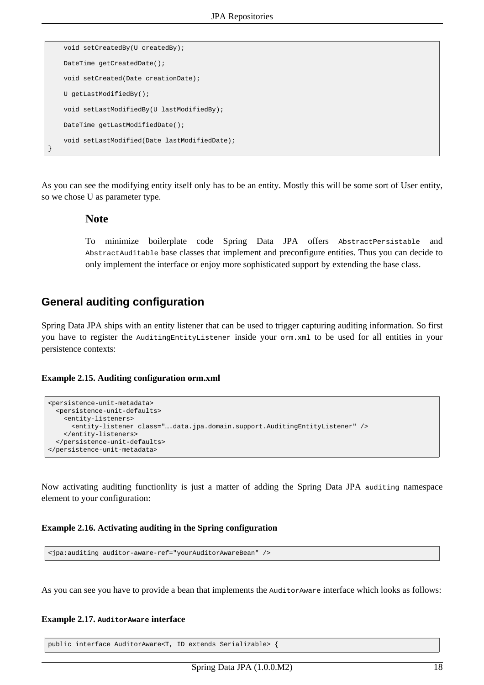```
void setCreatedBy(U createdBy);
   DateTime getCreatedDate();
   void setCreated(Date creationDate);
   U getLastModifiedBy();
   void setLastModifiedBy(U lastModifiedBy);
   DateTime getLastModifiedDate();
   void setLastModified(Date lastModifiedDate);
}
```
As you can see the modifying entity itself only has to be an entity. Mostly this will be some sort of User entity, so we chose U as parameter type.

#### **Note**

To minimize boilerplate code Spring Data JPA offers AbstractPersistable and AbstractAuditable base classes that implement and preconfigure entities. Thus you can decide to only implement the interface or enjoy more sophisticated support by extending the base class.

### **General auditing configuration**

Spring Data JPA ships with an entity listener that can be used to trigger capturing auditing information. So first you have to register the AuditingEntityListener inside your orm.xml to be used for all entities in your persistence contexts:

#### **Example 2.15. Auditing configuration orm.xml**

```
<persistence-unit-metadata>
 <persistence-unit-defaults>
   <entity-listeners>
     <entity-listener class="….data.jpa.domain.support.AuditingEntityListener" />
    </entity-listeners>
 </persistence-unit-defaults>
</persistence-unit-metadata>
```
Now activating auditing functionlity is just a matter of adding the Spring Data JPA auditing namespace element to your configuration:

#### **Example 2.16. Activating auditing in the Spring configuration**

<jpa:auditing auditor-aware-ref="yourAuditorAwareBean" />

As you can see you have to provide a bean that implements the AuditorAware interface which looks as follows:

#### **Example 2.17. AuditorAware interface**

public interface AuditorAware<T, ID extends Serializable> {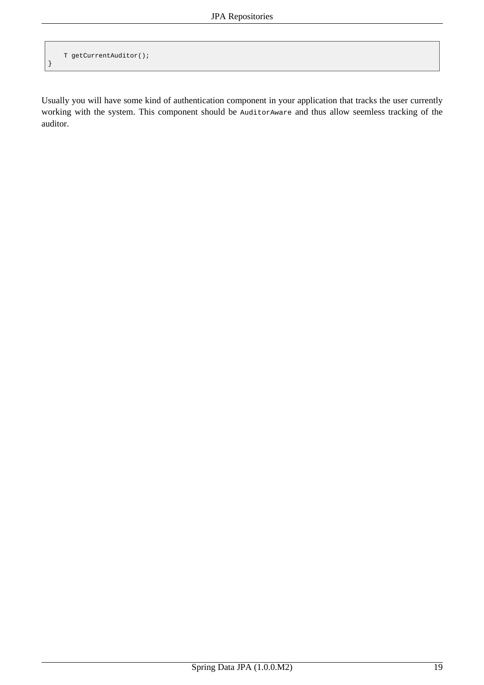```
T getCurrentAuditor();
```
}

Usually you will have some kind of authentication component in your application that tracks the user currently working with the system. This component should be AuditorAware and thus allow seemless tracking of the auditor.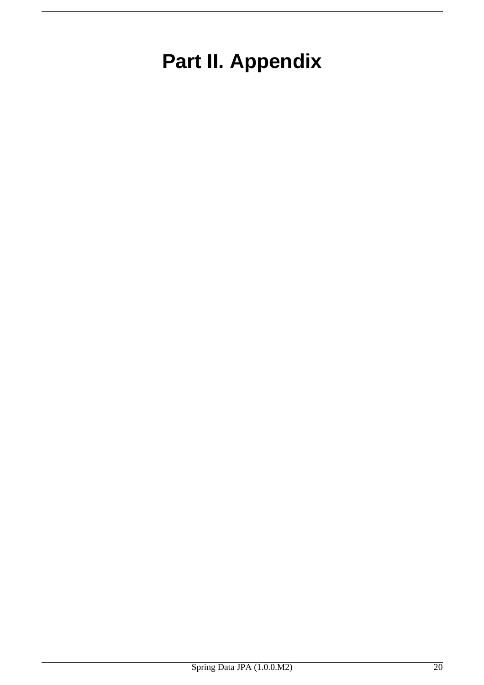# <span id="page-22-0"></span>**Part II. Appendix**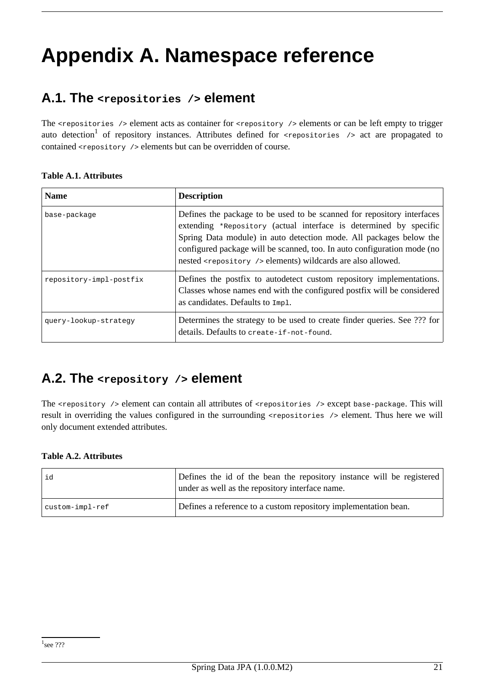# <span id="page-23-1"></span><span id="page-23-0"></span>**Appendix A. Namespace reference**

## **A.1. The <repositories /> element**

The <repositories /> element acts as container for <repository /> elements or can be left empty to trigger auto detection<sup>1</sup> of repository instances. Attributes defined for <repositories /> act are propagated to contained <repository /> elements but can be overridden of course.

#### **Table A.1. Attributes**

| <b>Name</b>             | <b>Description</b>                                                                                                                                                                                                                                                                                                                                                     |
|-------------------------|------------------------------------------------------------------------------------------------------------------------------------------------------------------------------------------------------------------------------------------------------------------------------------------------------------------------------------------------------------------------|
| base-package            | Defines the package to be used to be scanned for repository interfaces<br>extending *Repository (actual interface is determined by specific<br>Spring Data module) in auto detection mode. All packages below the<br>configured package will be scanned, too. In auto configuration mode (no<br>nested <repository></repository> elements) wildcards are also allowed. |
| repository-impl-postfix | Defines the postfix to autodetect custom repository implementations.<br>Classes whose names end with the configured postfix will be considered<br>as candidates. Defaults to Impl.                                                                                                                                                                                     |
| query-lookup-strategy   | Determines the strategy to be used to create finder queries. See ??? for<br>details. Defaults to create-if-not-found.                                                                                                                                                                                                                                                  |

## <span id="page-23-2"></span>**A.2. The <repository /> element**

The <repository /> element can contain all attributes of <repositories /> except base-package. This will result in overriding the values configured in the surrounding <repositories /> element. Thus here we will only document extended attributes.

#### **Table A.2. Attributes**

| id              | Defines the id of the bean the repository instance will be registered<br>under as well as the repository interface name. |
|-----------------|--------------------------------------------------------------------------------------------------------------------------|
| custom-impl-ref | Defines a reference to a custom repository implementation bean.                                                          |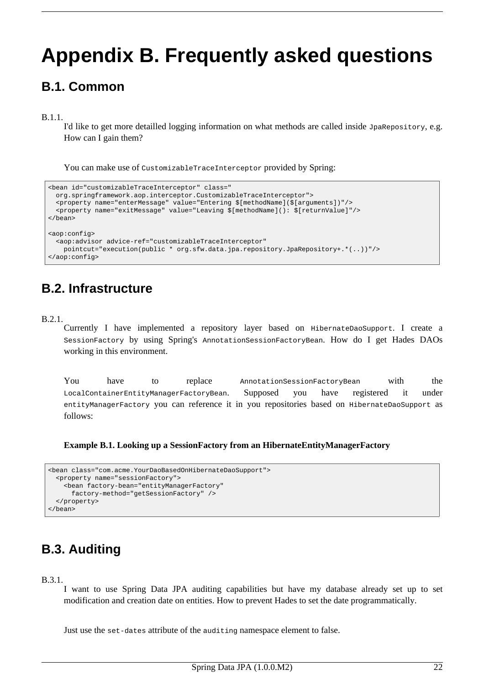# <span id="page-24-0"></span>**Appendix B. Frequently asked questions**

## **B.1. Common**

B.1.1.

I'd like to get more detailled logging information on what methods are called inside JpaRepository, e.g. How can I gain them?

You can make use of CustomizableTraceInterceptor provided by Spring:

```
<bean id="customizableTraceInterceptor" class="
 org.springframework.aop.interceptor.CustomizableTraceInterceptor">
 <property name="enterMessage" value="Entering $[methodName]($[arguments])"/>
 <property name="exitMessage" value="Leaving $[methodName](): $[returnValue]"/>
</bean>
<aop:config>
  <aop:advisor advice-ref="customizableTraceInterceptor"
   pointcut="execution(public * org.sfw.data.jpa.repository.JpaRepository+.*(..))"/>
</aop:config>
```
## **B.2. Infrastructure**

#### B.2.1.

Currently I have implemented a repository layer based on HibernateDaoSupport. I create a SessionFactory by using Spring's AnnotationSessionFactoryBean. How do I get Hades DAOs working in this environment.

You have to replace AnnotationSessionFactoryBean with the LocalContainerEntityManagerFactoryBean. Supposed you have registered it under entityManagerFactory you can reference it in you repositories based on HibernateDaoSupport as follows:

**Example B.1. Looking up a SessionFactory from an HibernateEntityManagerFactory**

```
<bean class="com.acme.YourDaoBasedOnHibernateDaoSupport">
 <property name="sessionFactory">
   <bean factory-bean="entityManagerFactory"
     factory-method="getSessionFactory" />
 </property>
</bean>
```
# **B.3. Auditing**

#### B.3.1.

I want to use Spring Data JPA auditing capabilities but have my database already set up to set modification and creation date on entities. How to prevent Hades to set the date programmatically.

Just use the set-dates attribute of the auditing namespace element to false.